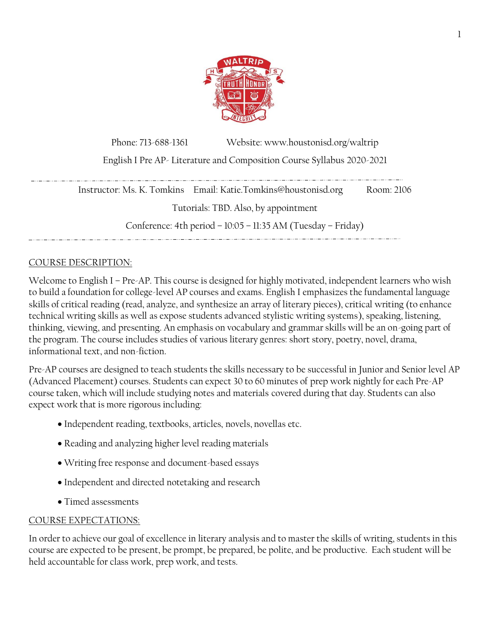

Phone: 713-688-1361 Website: www.houstonisd.org/waltrip English I Pre AP- Literature and Composition Course Syllabus 2020-2021

Instructor: Ms. K. Tomkins Email: Katie.Tomkins@houstonisd.org Room: 2106 Tutorials: TBD. Also, by appointment Conference: 4th period – 10:05 – 11:35 AM (Tuesday – Friday) 

## COURSE DESCRIPTION:

Welcome to English I – Pre-AP. This course is designed for highly motivated, independent learners who wish to build a foundation for college-level AP courses and exams. English I emphasizes the fundamental language skills of critical reading (read, analyze, and synthesize an array of literary pieces), critical writing (to enhance technical writing skills as well as expose students advanced stylistic writing systems), speaking, listening, thinking, viewing, and presenting. An emphasis on vocabulary and grammar skills will be an on-going part of the program. The course includes studies of various literary genres: short story, poetry, novel, drama, informational text, and non-fiction.

Pre-AP courses are designed to teach students the skills necessary to be successful in Junior and Senior level AP (Advanced Placement) courses. Students can expect 30 to 60 minutes of prep work nightly for each Pre-AP course taken, which will include studying notes and materials covered during that day. Students can also expect work that is more rigorous including:

- Independent reading, textbooks, articles, novels, novellas etc.
- Reading and analyzing higher level reading materials
- Writing free response and document-based essays
- Independent and directed notetaking and research
- Timed assessments

#### COURSE EXPECTATIONS:

In order to achieve our goal of excellence in literary analysis and to master the skills of writing, students in this course are expected to be present, be prompt, be prepared, be polite, and be productive. Each student will be held accountable for class work, prep work, and tests.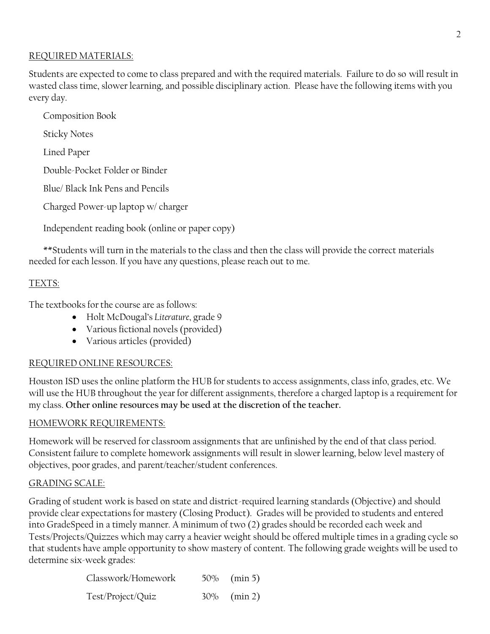### REQUIRED MATERIALS:

Students are expected to come to class prepared and with the required materials. Failure to do so will result in wasted class time, slower learning, and possible disciplinary action. Please have the following items with you every day.

Composition Book

Sticky Notes

Lined Paper

Double-Pocket Folder or Binder

Blue/ Black Ink Pens and Pencils

Charged Power-up laptop w/ charger

Independent reading book (online or paper copy)

\*\*Students will turn in the materials to the class and then the class will provide the correct materials needed for each lesson. If you have any questions, please reach out to me.

## TEXTS:

The textbooks for the course are as follows:

- Holt McDougal's *Literature*, grade 9
- Various fictional novels (provided)
- Various articles (provided)

## REQUIRED ONLINE RESOURCES:

Houston ISD uses the online platform the HUB for students to access assignments, class info, grades, etc. We will use the HUB throughout the year for different assignments, therefore a charged laptop is a requirement for my class. **Other online resources may be used at the discretion of the teacher.**

## HOMEWORK REQUIREMENTS:

Homework will be reserved for classroom assignments that are unfinished by the end of that class period. Consistent failure to complete homework assignments will result in slower learning, below level mastery of objectives, poor grades, and parent/teacher/student conferences.

## GRADING SCALE:

Grading of student work is based on state and district-required learning standards (Objective) and should provide clear expectations for mastery (Closing Product). Grades will be provided to students and entered into GradeSpeed in a timely manner. A minimum of two (2) grades should be recorded each week and Tests/Projects/Quizzes which may carry a heavier weight should be offered multiple times in a grading cycle so that students have ample opportunity to show mastery of content. The following grade weights will be used to determine six-week grades:

| Classwork/Homework | $50\%$ (min 5) |
|--------------------|----------------|
| Test/Project/Quiz  | $30\%$ (min 2) |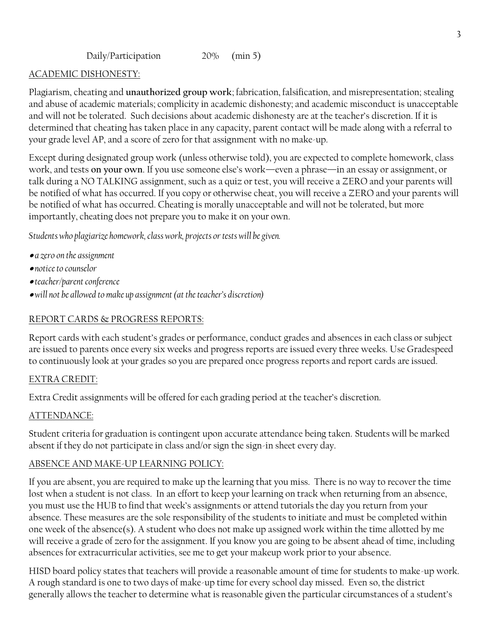#### ACADEMIC DISHONESTY:

Plagiarism, cheating and **unauthorized group work**; fabrication, falsification, and misrepresentation; stealing and abuse of academic materials; complicity in academic dishonesty; and academic misconduct is unacceptable and will not be tolerated. Such decisions about academic dishonesty are at the teacher's discretion. If it is determined that cheating has taken place in any capacity, parent contact will be made along with a referral to your grade level AP, and a score of zero for that assignment with no make-up.

Except during designated group work (unless otherwise told), you are expected to complete homework, class work, and tests **on your own**. If you use someone else's work—even a phrase—in an essay or assignment, or talk during a NO TALKING assignment, such as a quiz or test, you will receive a ZERO and your parents will be notified of what has occurred. If you copy or otherwise cheat, you will receive a ZERO and your parents will be notified of what has occurred. Cheating is morally unacceptable and will not be tolerated, but more importantly, cheating does not prepare you to make it on your own.

*Students who plagiarize homework, class work, projects or tests will be given.*

- *a zero on the assignment*
- *notice to counselor*
- *teacher/parent conference*
- *will not be allowed to make up assignment (at the teacher's discretion)*

### REPORT CARDS & PROGRESS REPORTS:

Report cards with each student's grades or performance, conduct grades and absences in each class or subject are issued to parents once every six weeks and progress reports are issued every three weeks. Use Gradespeed to continuously look at your grades so you are prepared once progress reports and report cards are issued.

#### EXTRA CREDIT:

Extra Credit assignments will be offered for each grading period at the teacher's discretion.

#### ATTENDANCE:

Student criteria for graduation is contingent upon accurate attendance being taken. Students will be marked absent if they do not participate in class and/or sign the sign-in sheet every day.

#### ABSENCE AND MAKE-UP LEARNING POLICY:

If you are absent, you are required to make up the learning that you miss. There is no way to recover the time lost when a student is not class. In an effort to keep your learning on track when returning from an absence, you must use the HUB to find that week's assignments or attend tutorials the day you return from your absence. These measures are the sole responsibility of the students to initiate and must be completed within one week of the absence(s). A student who does not make up assigned work within the time allotted by me will receive a grade of zero for the assignment. If you know you are going to be absent ahead of time, including absences for extracurricular activities, see me to get your makeup work prior to your absence.

HISD board policy states that teachers will provide a reasonable amount of time for students to make-up work. A rough standard is one to two days of make-up time for every school day missed. Even so, the district generally allows the teacher to determine what is reasonable given the particular circumstances of a student's